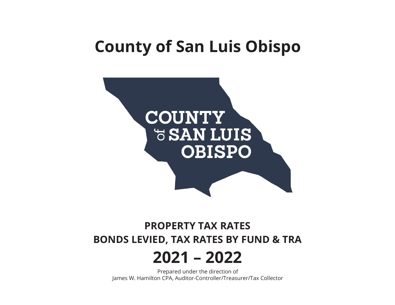# **County of San Luis Obispo**



## **PROPERTY TAX RATES BONDS LEVIED, TAX RATES BY FUND & TRA**

# **2021 – 2022**

Prepared under the direction of James W. Hamilton CPA, Auditor-Controller/Treasurer/Tax Collector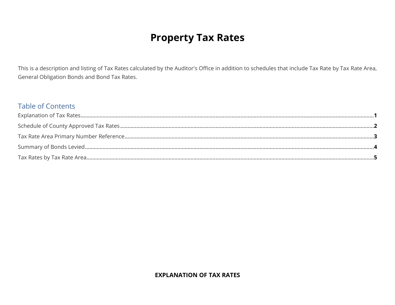## **Property Tax Rates**

This is a description and listing of Tax Rates calculated by the Auditor's Office in addition to schedules that include Tax Rate by Tax Rate Area, General Obligation Bonds and Bond Tax Rates.

#### **Table of Contents**

#### **EXPLANATION OF TAX RATES**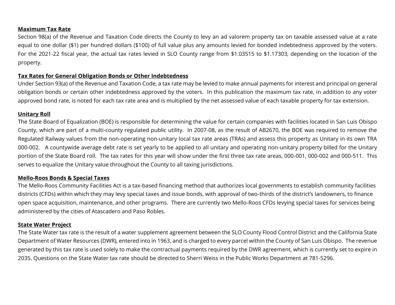#### **Maximum Tax Rate**

Section 98(a) of the Revenue and Taxation Code directs the County to levy an ad valorem property tax on taxable assessed value at a rate equal to one dollar (\$1) per hundred dollars (\$100) of full value plus any amounts levied for bonded indebtedness approved by the voters. For the 2021-22 fiscal year, the actual tax rates levied in SLO County range from \$1.03515 to \$1.17303, depending on the location of the property.

#### **Tax Rates for General Obligation Bonds or Other Indebtedness**

Under Section 93(a) of the Revenue and Taxation Code, a tax rate may be levied to make annual payments for interest and principal on general obligation bonds or certain other indebtedness approved by the voters. In this publication the maximum tax rate, in addition to any voter approved bond rate, is noted for each tax rate area and is multiplied by the net assessed value of each taxable property for tax extension.

#### **Unitary Roll**

The State Board of Equalization (BOE) is responsible for determining the value for certain companies with facilities located in San Luis Obispo County, which are part of a multi-county regulated public utility. In 2007-08, as the result of AB2670, the BOE was required to remove the Regulated Railway values from the non-operating non-unitary local tax rate areas (TRAs) and assess this property as Unitary in its own TRA 000-002. A countywide average debt rate is set yearly to be applied to all unitary and operating non-unitary property billed for the Unitary portion of the State Board roll. The tax rates for this year will show under the first three tax rate areas, 000-001, 000-002 and 000-511. This serves to equalize the Unitary value throughout the County to all taxing jurisdictions.

#### **Mello-Roos Bonds & Special Taxes**

The Mello-Roos Community Facilities Act is a tax-based financing method that authorizes local governments to establish community facilities districts (CFDs) within which they may levy special taxes and issue bonds, with approval of two-thirds of the district's landowners, to finance open space acquisition, maintenance, and other programs. There are currently two Mello-Roos CFDs levying special taxes for services being administered by the cities of Atascadero and Paso Robles.

#### **State Water Project**

The State Water tax rate is the result of a water supplement agreement between the SLO County Flood Control District and the California State Department of Water Resources (DWR), entered into in 1963, and is charged to every parcel within the County of San Luis Obispo. The revenue generated by this tax rate is used solely to make the contractual payments required by the DWR agreement, which is currently set to expire in 2035. Questions on the State Water tax rate should be directed to Sherri Weiss in the Public Works Department at 781-5296.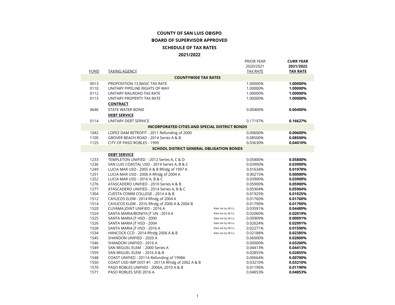#### **COUNTY OF SAN LUIS OBISPOBOARD OF SUPERVISOR APPROVEDSCHEDULE OF TAX RATES 2021/2022**

|              |                                                                          |                    | <b>PRIOR YEAR</b><br>2020/2021 | <b>CURR YEAR</b><br>2021/2022 |
|--------------|--------------------------------------------------------------------------|--------------------|--------------------------------|-------------------------------|
| <b>FUND</b>  | <b>TAXING AGENCY</b>                                                     |                    | <b>TAX RATE</b>                | <b>TAX RATE</b>               |
|              | <b>COUNTYWIDE TAX RATES</b>                                              |                    |                                |                               |
| 0013         | PROPOSITION 13 BASIC TAX RATE                                            |                    | 1.00000%                       | 1.00000%                      |
| 0110         | UNITARY PIPELINE RIGHTS OF WAY                                           |                    | 1.00000%                       | 1.00000%                      |
| 0112         | UNITARY RAILROAD TAX RATE                                                |                    | 1.00000%                       | 1.00000%                      |
| 0113         | UNITARY PROPERTY TAX RATE                                                |                    | 1.00000%                       | 1.00000%                      |
|              | <b>CONTRACT</b>                                                          |                    |                                |                               |
| 0646         | STATE WATER BOND                                                         |                    | 0.00400%                       | 0.00400%                      |
|              | <b>DEBT SERVICE</b>                                                      |                    |                                |                               |
| 0114         | UNITARY DEBT SERVICE                                                     |                    | 0.17197%                       | 0.16627%                      |
|              | <b>INCORPORATED CITIES AND SPECIAL DISTRICT BONDS</b>                    |                    |                                |                               |
| 1042         | LOPEZ DAM RETROFIT - 2011 Refunding of 2000                              |                    | 0.00600%                       | 0.00600%                      |
| 1100         | GROVER BEACH ROAD - 2014 Series A & B                                    |                    | 0.08500%                       | 0.08500%                      |
| 1125         | CITY OF PASO ROBLES - 1999                                               |                    | 0.03630%                       | 0.04010%                      |
|              | <b>SCHOOL DISTRICT GENERAL OBLIGATION BONDS</b>                          |                    |                                |                               |
|              | <b>DEBT SERVICE</b>                                                      |                    |                                |                               |
| 1233         | TEMPLETON UNIFIED - 2012 Series A, C & D                                 |                    | 0.05800%                       | 0.05800%                      |
| 1236         | SAN LUIS COASTAL USD - 2014 Series A, B & C                              |                    | 0.03900%                       | 0.03900%                      |
| 1249         | LUCIA MAR USD - 2005 A & B Rfndg of 1997 A                               |                    | 0.01634%                       | 0.01978%                      |
| 1251         | LUCIA MAR USD - 2006 A Rfndg of 2004 A                                   |                    | 0.00215%                       | 0.00000%                      |
| 1252         | LUCIA MAR USD - 2016 A, B & C                                            |                    | 0.03900%                       | 0.03900%                      |
| 1276         | ATASCADERO UNIFIED - 2010 Series A & B                                   |                    | 0.05900%                       | 0.05900%                      |
| 1277         | ATASCADERO UNIFIED - 2014 Series A, B & C                                |                    | 0.05904%                       | 0.05904%                      |
| 1304         | CUESTA COMM COLLEGE - 2014 A & B                                         |                    | 0.01925%                       | 0.01925%                      |
| 1512         | CAYUCOS ELEM - 2014 Rfndg of 2004 A                                      |                    | 0.01760%                       | 0.01760%                      |
| 1514         | CAYUCOS ELEM - 2016 Rfndg of 2006 A & 2004 B                             |                    | 0.01790%                       | 0.01790%                      |
| 1520         | CUYAMA JOINT UNIFIED - 2016 A                                            | Rate Set by SB Co. | 0.03591%                       | 0.04489%                      |
| 1524         | SANTA MARIA/BONITA JT UN -2014 A                                         | Rate Set by SB Co. | 0.02060%                       | 0.02019%                      |
| 1525         | SANTA MARIA JT HSD - 2000                                                | Rate Set by SB Co. | 0.00909%                       | 0.00091%                      |
| 1526         | SANTA MARIA JT HSD - 2004                                                | Rate Set by SB Co. | 0.02624%                       | 0.02991%                      |
| 1528         | SANTA MARIA JT HSD - 2016 A                                              | Rate Set by SB Co. | 0.02271%                       | 0.01590%                      |
| 1534         | HANCOCK CCD - 2014 Rfndg 2006 A & B                                      | Rate Set by SB Co. | 0.02188%                       | 0.02385%                      |
| 1545         | SHANDON UNIFIED - 2020 A                                                 |                    | 0.06000%                       | 0.02800%                      |
| 1546<br>1549 | SHANDON UNIFIED - 2016 A                                                 |                    | 0.00000%                       | 0.03200%                      |
| 1559         | SAN MIGUEL ELEM - 2000 Series A                                          |                    | 0.04413%                       | 0.04413%                      |
| 1548         | SAN MIGUEL ELEM - 2016 A & B<br>COAST UNIFIED - 2011A Refunding of 1998A |                    | 0.02855%<br>0.00664%           | 0.02855%<br>0.00700%          |
| 1550         | COAST USD IMP DIST #1 - 2011A Rfndg of 2002 A & B                        |                    | 0.03210%                       | 0.03210%                      |
| 1570         | PASO ROBLES UNIFIED - 2006A, 2010 A & B                                  |                    | 0.01190%                       | 0.01190%                      |
| 1571         | PASO ROBLES SFID 2016 A                                                  |                    | 0.04853%                       | 0.04853%                      |
|              |                                                                          |                    |                                |                               |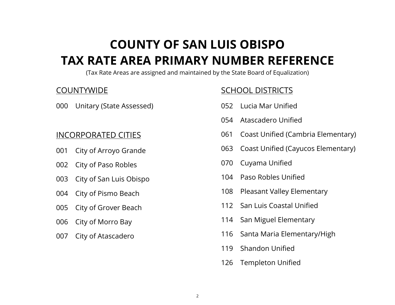## **COUNTY OF SAN LUIS OBISPO TAX RATE AREA PRIMARY NUMBER REFERENCE**

(Tax Rate Areas are assigned and maintained by the State Board of Equalization)

## **COUNTYWIDE**

000 Unitary (State Assessed)

## INCORPORATED CITIES

- 001 City of Arroyo Grande
- 002 City of Paso Robles
- 003 City of San Luis Obispo
- 004 City of Pismo Beach
- 005 City of Grover Beach
- 006 City of Morro Bay
- 007 City of Atascadero

## SCHOOL DISTRICTS

- 052 Lucia Mar Unified
- 054 Atascadero Unified
- 061 Coast Unified (Cambria Elementary)
- 063 Coast Unified (Cayucos Elementary)
- 070 Cuyama Unified
- 104 Paso Robles Unified
- 108 Pleasant Valley Elementary
- 112 San Luis Coastal Unified
- 114 San Miguel Elementary
- 116 Santa Maria Elementary/High
- 119 Shandon Unified
- 126 Templeton Unified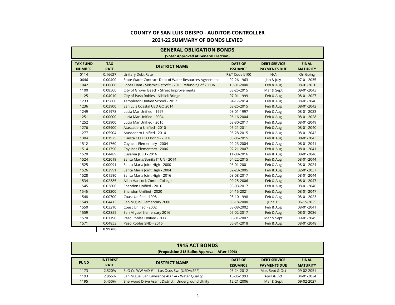#### **2021-22 SUMMARY OF BONDS LEVIEDCOUNTY OF SAN LUIS OBISPO - AUDITOR-CONTROLLER**

|                                  | <b>GENERAL OBLIGATION BONDS</b><br>(Voter Approved at General Election) |                                                        |                                   |                                            |                                 |  |  |  |  |  |  |  |
|----------------------------------|-------------------------------------------------------------------------|--------------------------------------------------------|-----------------------------------|--------------------------------------------|---------------------------------|--|--|--|--|--|--|--|
| <b>TAX FUND</b><br><b>NUMBER</b> | <b>TAX</b><br><b>RATE</b>                                               | <b>DISTRICT NAME</b>                                   | <b>DATE OF</b><br><b>ISSUANCE</b> | <b>DEBT SERVICE</b><br><b>PAYMENTS DUE</b> | <b>FINAL</b><br><b>MATURITY</b> |  |  |  |  |  |  |  |
| 0114                             | 0.16627                                                                 | <b>Unitary Debt Rate</b>                               | R&T Code §100                     | N/A                                        | On Going                        |  |  |  |  |  |  |  |
| 0646                             | 0.00400                                                                 | State Water Contract-Dept of Water Resources Agreement | 02-26-1963                        | Jan & July                                 | 07-01-2035                      |  |  |  |  |  |  |  |
| 1042                             | 0.00600                                                                 | Lopez Dam - Seismic Retrofit - 2011 Refunding of 2000A | 10-01-2000                        | Feb & Aug                                  | 08-01-2030                      |  |  |  |  |  |  |  |
| 1100                             | 0.08500                                                                 | City of Grover Beach - Street Improvements             | 03-25-2015                        | Mar & Sept                                 | 09-01-2043                      |  |  |  |  |  |  |  |
| 1125                             | 0.04010                                                                 | City of Paso Robles - Niblick Bridge                   | 07-01-1999                        | Feb & Aug                                  | 08-01-2027                      |  |  |  |  |  |  |  |
| 1233                             | 0.05800                                                                 | Templeton Unified School - 2012                        | 04-17-2014                        | Feb & Aug                                  | 08-01-2046                      |  |  |  |  |  |  |  |
| 1236                             | 0.03900                                                                 | San Luis Coastal USD GO 2014                           | 03-25-2015                        | Feb & Aug                                  | 08-01-2042                      |  |  |  |  |  |  |  |
| 1249                             | 0.01978                                                                 | Lucia Mar Unified - 1997                               | 08-01-1997                        | Feb & Aug                                  | 08-01-2023                      |  |  |  |  |  |  |  |
| 1251                             | 0.00000                                                                 | Lucia Mar Unified - 2004                               | 06-16-2004                        | Feb & Aug                                  | 08-01-2028                      |  |  |  |  |  |  |  |
| 1252                             | 0.03900                                                                 | Lucia Mar Unified - 2016                               | 03-30-2017                        | Feb & Aug                                  | 08-01-2049                      |  |  |  |  |  |  |  |
| 1276                             | 0.05900                                                                 | Atascadero Unified - 2010                              | 06-21-2011                        | Feb & Aug                                  | 08-01-2040                      |  |  |  |  |  |  |  |
| 1277                             | 0.05904                                                                 | Atascadero Unified - 2014                              | 05-28-2015                        | Feb & Aug                                  | 08-01-2042                      |  |  |  |  |  |  |  |
| 1304                             | 0.01925                                                                 | Cuesta CCD GO Bond - 2014                              | 03-05-2015                        | Feb & Aug                                  | 08-01-2043                      |  |  |  |  |  |  |  |
| 1512                             | 0.01760                                                                 | Cayucos Elementary - 2004                              | 02-23-2004                        | Feb & Aug                                  | 08-01-2041                      |  |  |  |  |  |  |  |
| 1514                             | 0.01790                                                                 | Cayucos Elementary - 2006                              | 02-21-2007                        | Feb & Aug                                  | 08-01-2041                      |  |  |  |  |  |  |  |
| 1520                             | 0.04489                                                                 | Cuyama  USD - 2016                                     | 11-08-2016                        | Feb & Aug                                  | 08-01-2046                      |  |  |  |  |  |  |  |
| 1524                             | 0.02019                                                                 | Santa Maria/Bonita  T UN - 2014                        | 04-22-2015                        | Feb & Aug                                  | 08-01-2044                      |  |  |  |  |  |  |  |
| 1525                             | 0.00091                                                                 | Santa Maria Joint High - 2000                          | 03-01-2001                        | Feb & Aug                                  | 08-01-2024                      |  |  |  |  |  |  |  |
| 1526                             | 0.02991                                                                 | Santa Maria Joint High - 2004                          | 02-23-2005                        | Feb & Aug                                  | 02-01-2037                      |  |  |  |  |  |  |  |
| 1528                             | 0.01590                                                                 | Santa Maria Joint High - 2016                          | 08-08-2017                        | Feb & Aug                                  | 08-01-2044                      |  |  |  |  |  |  |  |
| 1534                             | 0.02385                                                                 | Allan Hancock Comm College                             | 09-25-2006                        | Feb & Aug                                  | 08-01-2047                      |  |  |  |  |  |  |  |
| 1545                             | 0.02800                                                                 | Shandon Unified - 2016                                 | 05-03-2017                        | Feb & Aug                                  | 08-01-2046                      |  |  |  |  |  |  |  |
| 1546                             | 0.03200                                                                 | Shandon Unified - 2020                                 | 04-15-2021                        | Feb & Aug                                  | 08-01-2047                      |  |  |  |  |  |  |  |
| 1548                             | 0.00700                                                                 | Coast Unified - 1998                                   | 08-10-1998                        | Feb & Aug                                  | 08-01-2023                      |  |  |  |  |  |  |  |
| 1549                             | 0.04413                                                                 | San Miguel Elementary 2000                             | 05-18-2000                        | June 15                                    | 06-15-2025                      |  |  |  |  |  |  |  |
| 1550                             | 0.03210                                                                 | Coast Unified - 2002                                   | 08-08-2002                        | Feb & Aug                                  | 08-01-2041                      |  |  |  |  |  |  |  |
| 1559                             | 0.02855                                                                 | San Miguel Elementary 2016                             | 05-02-2017                        | Feb & Aug                                  | 08-01-2036                      |  |  |  |  |  |  |  |
| 1570                             | 0.01190                                                                 | Paso Robles Unified - 2006                             | 08-01-2007                        | Mar & Sept                                 | 09-01-2045                      |  |  |  |  |  |  |  |
| 1571                             | 0.04853                                                                 | Paso Robles SFID - 2016                                | 05-31-2018                        | Feb & Aug                                  | 08-01-2048                      |  |  |  |  |  |  |  |
|                                  | 0.99780                                                                 |                                                        |                                   |                                            |                                 |  |  |  |  |  |  |  |

|             | <b>1915 ACT BONDS</b><br>(Proposition 218 Ballot Approval - After 1996) |                                                     |                                   |                                            |                                 |  |  |  |  |  |  |  |  |
|-------------|-------------------------------------------------------------------------|-----------------------------------------------------|-----------------------------------|--------------------------------------------|---------------------------------|--|--|--|--|--|--|--|--|
| <b>FUND</b> | <b>INTEREST</b><br><b>RATE</b>                                          | <b>DISTRICT NAME</b>                                | <b>DATE OF</b><br><b>ISSUANCE</b> | <b>DEBT SERVICE</b><br><b>PAYMENTS DUE</b> | <b>FINAL</b><br><b>MATURITY</b> |  |  |  |  |  |  |  |  |
| 1173        | 2.520%                                                                  | SLO Co WW A/D #1 - Los Osos Swr (USDA/SRF)          | 05-24-2012                        | Mar, Sept & Oct                            | 09-02-2051                      |  |  |  |  |  |  |  |  |
| 1193        | 2.955%                                                                  | San Miguel San Lawrence AD 1-A - Water Quality      | 10-05-1993                        | April & Oct                                | 04-01-2024                      |  |  |  |  |  |  |  |  |
| 1195        | 5.450%                                                                  | Sherwood Drive Assmt District - Underground Utility | 12-21-2006                        | Mar & Sept                                 | 09-02-2027                      |  |  |  |  |  |  |  |  |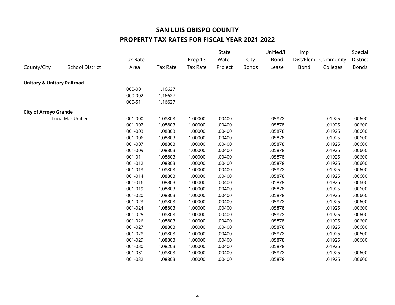|                                       |                        |                 |          |                 | State   |              | Unified/Hi | Imp       |           | Special  |
|---------------------------------------|------------------------|-----------------|----------|-----------------|---------|--------------|------------|-----------|-----------|----------|
|                                       |                        | <b>Tax Rate</b> |          | Prop 13         | Water   | City         | Bond       | Dist/Elem | Community | District |
| County/City                           | <b>School District</b> | Area            | Tax Rate | <b>Tax Rate</b> | Project | <b>Bonds</b> | Lease      | Bond      | Colleges  | Bonds    |
|                                       |                        |                 |          |                 |         |              |            |           |           |          |
| <b>Unitary &amp; Unitary Railroad</b> |                        |                 |          |                 |         |              |            |           |           |          |
|                                       |                        | 000-001         | 1.16627  |                 |         |              |            |           |           |          |
|                                       |                        | 000-002         | 1.16627  |                 |         |              |            |           |           |          |
|                                       |                        | 000-511         | 1.16627  |                 |         |              |            |           |           |          |
| <b>City of Arroyo Grande</b>          |                        |                 |          |                 |         |              |            |           |           |          |
|                                       | Lucia Mar Unified      | 001-000         | 1.08803  | 1.00000         | .00400  |              | .05878     |           | .01925    | .00600   |
|                                       |                        | 001-002         | 1.08803  | 1.00000         | .00400  |              | .05878     |           | .01925    | .00600   |
|                                       |                        | 001-003         | 1.08803  | 1.00000         | .00400  |              | .05878     |           | .01925    | .00600   |
|                                       |                        | 001-006         | 1.08803  | 1.00000         | .00400  |              | .05878     |           | .01925    | .00600   |
|                                       |                        | 001-007         | 1.08803  | 1.00000         | .00400  |              | .05878     |           | .01925    | .00600   |
|                                       |                        | 001-009         | 1.08803  | 1.00000         | .00400  |              | .05878     |           | .01925    | .00600   |
|                                       |                        | 001-011         | 1.08803  | 1.00000         | .00400  |              | .05878     |           | .01925    | .00600   |
|                                       |                        | 001-012         | 1.08803  | 1.00000         | .00400  |              | .05878     |           | .01925    | .00600   |
|                                       |                        | 001-013         | 1.08803  | 1.00000         | .00400  |              | .05878     |           | .01925    | .00600   |
|                                       |                        | 001-014         | 1.08803  | 1.00000         | .00400  |              | .05878     |           | .01925    | .00600   |
|                                       |                        | 001-016         | 1.08803  | 1.00000         | .00400  |              | .05878     |           | .01925    | .00600   |
|                                       |                        | 001-019         | 1.08803  | 1.00000         | .00400  |              | .05878     |           | .01925    | .00600   |
|                                       |                        | 001-020         | 1.08803  | 1.00000         | .00400  |              | .05878     |           | .01925    | .00600   |
|                                       |                        | 001-023         | 1.08803  | 1.00000         | .00400  |              | .05878     |           | .01925    | .00600   |
|                                       |                        | 001-024         | 1.08803  | 1.00000         | .00400  |              | .05878     |           | .01925    | .00600   |
|                                       |                        | 001-025         | 1.08803  | 1.00000         | .00400  |              | .05878     |           | .01925    | .00600   |
|                                       |                        | 001-026         | 1.08803  | 1.00000         | .00400  |              | .05878     |           | .01925    | .00600   |
|                                       |                        | 001-027         | 1.08803  | 1.00000         | .00400  |              | .05878     |           | .01925    | .00600   |
|                                       |                        | 001-028         | 1.08803  | 1.00000         | .00400  |              | .05878     |           | .01925    | .00600   |
|                                       |                        | 001-029         | 1.08803  | 1.00000         | .00400  |              | .05878     |           | .01925    | .00600   |
|                                       |                        | 001-030         | 1.08203  | 1.00000         | .00400  |              | .05878     |           | .01925    |          |
|                                       |                        | 001-031         | 1.08803  | 1.00000         | .00400  |              | .05878     |           | .01925    | .00600   |
|                                       |                        | 001-032         | 1.08803  | 1.00000         | .00400  |              | .05878     |           | .01925    | .00600   |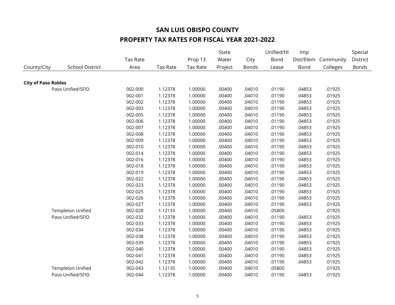|                            |                          |          |                 |                 | State   |              | Unified/Hi | Imp       |           | Special  |
|----------------------------|--------------------------|----------|-----------------|-----------------|---------|--------------|------------|-----------|-----------|----------|
|                            |                          | Tax Rate |                 | Prop 13         | Water   | City         | Bond       | Dist/Elem | Community | District |
| County/City                | <b>School District</b>   | Area     | <b>Tax Rate</b> | <b>Tax Rate</b> | Project | <b>Bonds</b> | Lease      | Bond      | Colleges  | Bonds    |
|                            |                          |          |                 |                 |         |              |            |           |           |          |
| <b>City of Paso Robles</b> |                          |          |                 |                 |         |              |            |           |           |          |
|                            | Paso Unified/SFID        | 002-000  | 1.12378         | 1.00000         | .00400  | .04010       | .01190     | .04853    | .01925    |          |
|                            |                          | 002-001  | 1.12378         | 1.00000         | .00400  | .04010       | .01190     | .04853    | .01925    |          |
|                            |                          | 002-002  | 1.12378         | 1.00000         | .00400  | .04010       | .01190     | .04853    | .01925    |          |
|                            |                          | 002-003  | 1.12378         | 1.00000         | .00400  | .04010       | .01190     | .04853    | .01925    |          |
|                            |                          | 002-005  | 1.12378         | 1.00000         | .00400  | .04010       | .01190     | .04853    | .01925    |          |
|                            |                          | 002-006  | 1.12378         | 1.00000         | .00400  | .04010       | .01190     | .04853    | .01925    |          |
|                            |                          | 002-007  | 1.12378         | 1.00000         | .00400  | .04010       | .01190     | .04853    | .01925    |          |
|                            |                          | 002-008  | 1.12378         | 1.00000         | .00400  | .04010       | .01190     | .04853    | .01925    |          |
|                            |                          | 002-009  | 1.12378         | 1.00000         | .00400  | .04010       | .01190     | .04853    | .01925    |          |
|                            |                          | 002-010  | 1.12378         | 1.00000         | .00400  | .04010       | .01190     | .04853    | .01925    |          |
|                            |                          | 002-014  | 1.12378         | 1.00000         | .00400  | .04010       | .01190     | .04853    | .01925    |          |
|                            |                          | 002-016  | 1.12378         | 1.00000         | .00400  | .04010       | .01190     | .04853    | .01925    |          |
|                            |                          | 002-018  | 1.12378         | 1.00000         | .00400  | .04010       | .01190     | .04853    | .01925    |          |
|                            |                          | 002-019  | 1.12378         | 1.00000         | .00400  | .04010       | .01190     | .04853    | .01925    |          |
|                            |                          | 002-022  | 1.12378         | 1.00000         | .00400  | .04010       | .01190     | .04853    | .01925    |          |
|                            |                          | 002-023  | 1.12378         | 1.00000         | .00400  | .04010       | .01190     | .04853    | .01925    |          |
|                            |                          | 002-025  | 1.12378         | 1.00000         | .00400  | .04010       | .01190     | .04853    | .01925    |          |
|                            |                          | 002-026  | 1.12378         | 1.00000         | .00400  | .04010       | .01190     | .04853    | .01925    |          |
|                            |                          | 002-027  | 1.12378         | 1.00000         | .00400  | .04010       | .01190     | .04853    | .01925    |          |
|                            | <b>Templeton Unified</b> | 002-028  | 1.12135         | 1.00000         | .00400  | .04010       | .05800     |           | .01925    |          |
|                            | Paso Unified/SFID        | 002-032  | 1.12378         | 1.00000         | .00400  | .04010       | .01190     | .04853    | .01925    |          |
|                            |                          | 002-033  | 1.12378         | 1.00000         | .00400  | .04010       | .01190     | .04853    | .01925    |          |
|                            |                          | 002-034  | 1.12378         | 1.00000         | .00400  | .04010       | .01190     | .04853    | .01925    |          |
|                            |                          | 002-038  | 1.12378         | 1.00000         | .00400  | .04010       | .01190     | .04853    | .01925    |          |
|                            |                          | 002-039  | 1.12378         | 1.00000         | .00400  | .04010       | .01190     | .04853    | .01925    |          |
|                            |                          | 002-040  | 1.12378         | 1.00000         | .00400  | .04010       | .01190     | .04853    | .01925    |          |
|                            |                          | 002-041  | 1.12378         | 1.00000         | .00400  | .04010       | .01190     | .04853    | .01925    |          |
|                            |                          | 002-042  | 1.12378         | 1.00000         | .00400  | .04010       | .01190     | .04853    | .01925    |          |
|                            | <b>Templeton Unified</b> | 002-043  | 1.12135         | 1.00000         | .00400  | .04010       | .05800     |           | .01925    |          |
|                            | Paso Unified/SFID        | 002-044  | 1.12378         | 1.00000         | .00400  | .04010       | .01190     | .04853    | .01925    |          |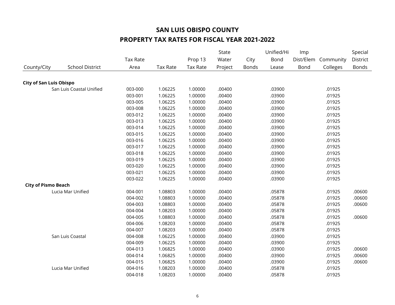|                                |                          |                 |                 |                 | State   |       | Unified/Hi | Imp       |           | Special  |
|--------------------------------|--------------------------|-----------------|-----------------|-----------------|---------|-------|------------|-----------|-----------|----------|
|                                |                          | <b>Tax Rate</b> |                 | Prop 13         | Water   | City  | Bond       | Dist/Elem | Community | District |
| County/City                    | <b>School District</b>   | Area            | <b>Tax Rate</b> | <b>Tax Rate</b> | Project | Bonds | Lease      | Bond      | Colleges  | Bonds    |
|                                |                          |                 |                 |                 |         |       |            |           |           |          |
| <b>City of San Luis Obispo</b> |                          |                 |                 |                 |         |       |            |           |           |          |
|                                | San Luis Coastal Unified | 003-000         | 1.06225         | 1.00000         | .00400  |       | .03900     |           | .01925    |          |
|                                |                          | 003-001         | 1.06225         | 1.00000         | .00400  |       | .03900     |           | .01925    |          |
|                                |                          | 003-005         | 1.06225         | 1.00000         | .00400  |       | .03900     |           | .01925    |          |
|                                |                          | 003-008         | 1.06225         | 1.00000         | .00400  |       | .03900     |           | .01925    |          |
|                                |                          | 003-012         | 1.06225         | 1.00000         | .00400  |       | .03900     |           | .01925    |          |
|                                |                          | 003-013         | 1.06225         | 1.00000         | .00400  |       | .03900     |           | .01925    |          |
|                                |                          | 003-014         | 1.06225         | 1.00000         | .00400  |       | .03900     |           | .01925    |          |
|                                |                          | 003-015         | 1.06225         | 1.00000         | .00400  |       | .03900     |           | .01925    |          |
|                                |                          | 003-016         | 1.06225         | 1.00000         | .00400  |       | .03900     |           | .01925    |          |
|                                |                          | 003-017         | 1.06225         | 1.00000         | .00400  |       | .03900     |           | .01925    |          |
|                                |                          | 003-018         | 1.06225         | 1.00000         | .00400  |       | .03900     |           | .01925    |          |
|                                |                          | 003-019         | 1.06225         | 1.00000         | .00400  |       | .03900     |           | .01925    |          |
|                                |                          | 003-020         | 1.06225         | 1.00000         | .00400  |       | .03900     |           | .01925    |          |
|                                |                          | 003-021         | 1.06225         | 1.00000         | .00400  |       | .03900     |           | .01925    |          |
|                                |                          | 003-022         | 1.06225         | 1.00000         | .00400  |       | .03900     |           | .01925    |          |
| <b>City of Pismo Beach</b>     |                          |                 |                 |                 |         |       |            |           |           |          |
|                                | Lucia Mar Unified        | 004-001         | 1.08803         | 1.00000         | .00400  |       | .05878     |           | .01925    | .00600   |
|                                |                          | 004-002         | 1.08803         | 1.00000         | .00400  |       | .05878     |           | .01925    | .00600   |
|                                |                          | 004-003         | 1.08803         | 1.00000         | .00400  |       | .05878     |           | .01925    | .00600   |
|                                |                          | 004-004         | 1.08203         | 1.00000         | .00400  |       | .05878     |           | .01925    |          |
|                                |                          | 004-005         | 1.08803         | 1.00000         | .00400  |       | .05878     |           | .01925    | .00600   |
|                                |                          | 004-006         | 1.08203         | 1.00000         | .00400  |       | .05878     |           | .01925    |          |
|                                |                          | 004-007         | 1.08203         | 1.00000         | .00400  |       | .05878     |           | .01925    |          |
|                                | San Luis Coastal         | 004-008         | 1.06225         | 1.00000         | .00400  |       | .03900     |           | .01925    |          |
|                                |                          | 004-009         | 1.06225         | 1.00000         | .00400  |       | .03900     |           | .01925    |          |
|                                |                          | 004-013         | 1.06825         | 1.00000         | .00400  |       | .03900     |           | .01925    | .00600   |
|                                |                          | 004-014         | 1.06825         | 1.00000         | .00400  |       | .03900     |           | .01925    | .00600   |
|                                |                          | 004-015         | 1.06825         | 1.00000         | .00400  |       | .03900     |           | .01925    | .00600   |
|                                | Lucia Mar Unified        | 004-016         | 1.08203         | 1.00000         | .00400  |       | .05878     |           | .01925    |          |
|                                |                          | 004-018         | 1.08203         | 1.00000         | .00400  |       | .05878     |           | .01925    |          |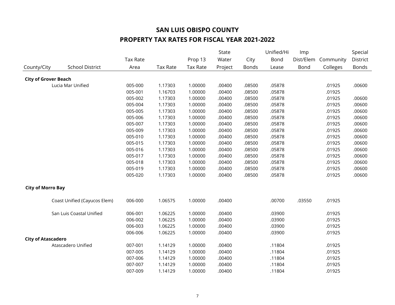|                             |                              |          |                 |                 | State   |              | Unified/Hi | Imp       |           | Special  |
|-----------------------------|------------------------------|----------|-----------------|-----------------|---------|--------------|------------|-----------|-----------|----------|
|                             |                              | Tax Rate |                 | Prop 13         | Water   | City         | Bond       | Dist/Elem | Community | District |
| County/City                 | <b>School District</b>       | Area     | <b>Tax Rate</b> | <b>Tax Rate</b> | Project | <b>Bonds</b> | Lease      | Bond      | Colleges  | Bonds    |
| <b>City of Grover Beach</b> |                              |          |                 |                 |         |              |            |           |           |          |
|                             | Lucia Mar Unified            | 005-000  | 1.17303         | 1.00000         | .00400  | .08500       | .05878     |           | .01925    | .00600   |
|                             |                              | 005-001  | 1.16703         | 1.00000         | .00400  | .08500       | .05878     |           | .01925    |          |
|                             |                              | 005-002  | 1.17303         | 1.00000         | .00400  | .08500       | .05878     |           | .01925    | .00600   |
|                             |                              | 005-004  | 1.17303         | 1.00000         | .00400  | .08500       | .05878     |           | .01925    | .00600   |
|                             |                              | 005-005  | 1.17303         | 1.00000         | .00400  | .08500       | .05878     |           | .01925    | .00600   |
|                             |                              | 005-006  | 1.17303         | 1.00000         | .00400  | .08500       | .05878     |           | .01925    | .00600   |
|                             |                              | 005-007  | 1.17303         | 1.00000         | .00400  | .08500       | .05878     |           | .01925    | .00600   |
|                             |                              | 005-009  | 1.17303         | 1.00000         | .00400  | .08500       | .05878     |           | .01925    | .00600   |
|                             |                              | 005-010  | 1.17303         | 1.00000         | .00400  | .08500       | .05878     |           | .01925    | .00600   |
|                             |                              | 005-015  | 1.17303         | 1.00000         | .00400  | .08500       | .05878     |           | .01925    | .00600   |
|                             |                              | 005-016  | 1.17303         | 1.00000         | .00400  | .08500       | .05878     |           | .01925    | .00600   |
|                             |                              | 005-017  | 1.17303         | 1.00000         | .00400  | .08500       | .05878     |           | .01925    | .00600   |
|                             |                              | 005-018  | 1.17303         | 1.00000         | .00400  | .08500       | .05878     |           | .01925    | .00600   |
|                             |                              | 005-019  | 1.17303         | 1.00000         | .00400  | .08500       | .05878     |           | .01925    | .00600   |
|                             |                              | 005-020  | 1.17303         | 1.00000         | .00400  | .08500       | .05878     |           | .01925    | .00600   |
| <b>City of Morro Bay</b>    |                              |          |                 |                 |         |              |            |           |           |          |
|                             | Coast Unified (Cayucos Elem) | 006-000  | 1.06575         | 1.00000         | .00400  |              | .00700     | .03550    | .01925    |          |
|                             | San Luis Coastal Unified     | 006-001  | 1.06225         | 1.00000         | .00400  |              | .03900     |           | .01925    |          |
|                             |                              | 006-002  | 1.06225         | 1.00000         | .00400  |              | .03900     |           | .01925    |          |
|                             |                              | 006-003  | 1.06225         | 1.00000         | .00400  |              | .03900     |           | .01925    |          |
|                             |                              | 006-006  | 1.06225         | 1.00000         | .00400  |              | .03900     |           | .01925    |          |
| <b>City of Atascadero</b>   |                              |          |                 |                 |         |              |            |           |           |          |
|                             | Atascadero Unified           | 007-001  | 1.14129         | 1.00000         | .00400  |              | .11804     |           | .01925    |          |
|                             |                              | 007-005  | 1.14129         | 1.00000         | .00400  |              | .11804     |           | .01925    |          |
|                             |                              | 007-006  | 1.14129         | 1.00000         | .00400  |              | .11804     |           | .01925    |          |
|                             |                              | 007-007  | 1.14129         | 1.00000         | .00400  |              | .11804     |           | .01925    |          |
|                             |                              | 007-009  | 1.14129         | 1.00000         | .00400  |              | .11804     |           | .01925    |          |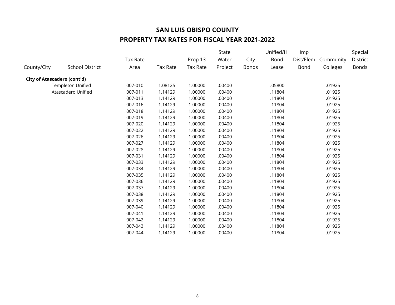|                             |                          |          |          |          | State   |              | Unified/Hi | <b>Imp</b> |           | Special  |
|-----------------------------|--------------------------|----------|----------|----------|---------|--------------|------------|------------|-----------|----------|
|                             |                          | Tax Rate |          | Prop 13  | Water   | City         | Bond       | Dist/Elem  | Community | District |
| County/City                 | <b>School District</b>   | Area     | Tax Rate | Tax Rate | Project | <b>Bonds</b> | Lease      | Bond       | Colleges  | Bonds    |
| City of Atascadero (cont'd) |                          |          |          |          |         |              |            |            |           |          |
|                             | <b>Templeton Unified</b> | 007-010  | 1.08125  | 1.00000  | .00400  |              | .05800     |            | .01925    |          |
|                             | Atascadero Unified       | 007-011  | 1.14129  | 1.00000  | .00400  |              | .11804     |            | .01925    |          |
|                             |                          | 007-013  | 1.14129  | 1.00000  | .00400  |              | .11804     |            | .01925    |          |
|                             |                          | 007-016  | 1.14129  | 1.00000  | .00400  |              | .11804     |            | .01925    |          |
|                             |                          | 007-018  | 1.14129  | 1.00000  | .00400  |              | .11804     |            | .01925    |          |
|                             |                          | 007-019  | 1.14129  | 1.00000  | .00400  |              | .11804     |            | .01925    |          |
|                             |                          | 007-020  | 1.14129  | 1.00000  | .00400  |              | .11804     |            | .01925    |          |
|                             |                          | 007-022  | 1.14129  | 1.00000  | .00400  |              | .11804     |            | .01925    |          |
|                             |                          | 007-026  | 1.14129  | 1.00000  | .00400  |              | .11804     |            | .01925    |          |
|                             |                          | 007-027  | 1.14129  | 1.00000  | .00400  |              | .11804     |            | .01925    |          |
|                             |                          | 007-028  | 1.14129  | 1.00000  | .00400  |              | .11804     |            | .01925    |          |
|                             |                          | 007-031  | 1.14129  | 1.00000  | .00400  |              | .11804     |            | .01925    |          |
|                             |                          | 007-033  | 1.14129  | 1.00000  | .00400  |              | .11804     |            | .01925    |          |
|                             |                          | 007-034  | 1.14129  | 1.00000  | .00400  |              | .11804     |            | .01925    |          |
|                             |                          | 007-035  | 1.14129  | 1.00000  | .00400  |              | .11804     |            | .01925    |          |
|                             |                          | 007-036  | 1.14129  | 1.00000  | .00400  |              | .11804     |            | .01925    |          |
|                             |                          | 007-037  | 1.14129  | 1.00000  | .00400  |              | .11804     |            | .01925    |          |
|                             |                          | 007-038  | 1.14129  | 1.00000  | .00400  |              | .11804     |            | .01925    |          |
|                             |                          | 007-039  | 1.14129  | 1.00000  | .00400  |              | .11804     |            | .01925    |          |
|                             |                          | 007-040  | 1.14129  | 1.00000  | .00400  |              | .11804     |            | .01925    |          |
|                             |                          | 007-041  | 1.14129  | 1.00000  | .00400  |              | .11804     |            | .01925    |          |
|                             |                          | 007-042  | 1.14129  | 1.00000  | .00400  |              | .11804     |            | .01925    |          |
|                             |                          | 007-043  | 1.14129  | 1.00000  | .00400  |              | .11804     |            | .01925    |          |
|                             |                          | 007-044  | 1.14129  | 1.00000  | .00400  |              | .11804     |            | .01925    |          |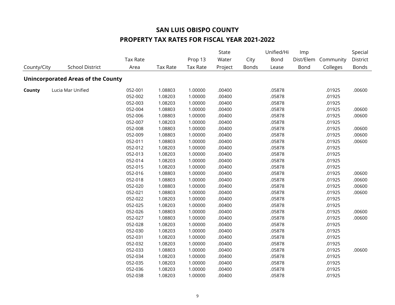|             |                                           |          |                 |                 | State   |              | Unified/Hi<br>Imp |           |           | Special      |
|-------------|-------------------------------------------|----------|-----------------|-----------------|---------|--------------|-------------------|-----------|-----------|--------------|
|             |                                           | Tax Rate |                 | Prop 13         | Water   | City         | Bond              | Dist/Elem | Community | District     |
| County/City | <b>School District</b>                    | Area     | <b>Tax Rate</b> | <b>Tax Rate</b> | Project | <b>Bonds</b> | Lease             | Bond      | Colleges  | <b>Bonds</b> |
|             | <b>Unincorporated Areas of the County</b> |          |                 |                 |         |              |                   |           |           |              |
| County      | Lucia Mar Unified                         | 052-001  | 1.08803         | 1.00000         | .00400  |              | .05878            |           | .01925    | .00600       |
|             |                                           | 052-002  | 1.08203         | 1.00000         | .00400  |              | .05878            |           | .01925    |              |
|             |                                           | 052-003  | 1.08203         | 1.00000         | .00400  |              | .05878            |           | .01925    |              |
|             |                                           | 052-004  | 1.08803         | 1.00000         | .00400  |              | .05878            |           | .01925    | .00600       |
|             |                                           | 052-006  | 1.08803         | 1.00000         | .00400  |              | .05878            |           | .01925    | .00600       |
|             |                                           | 052-007  | 1.08203         | 1.00000         | .00400  |              | .05878            |           | .01925    |              |
|             |                                           | 052-008  | 1.08803         | 1.00000         | .00400  |              | .05878            |           | .01925    | .00600       |
|             |                                           | 052-009  | 1.08803         | 1.00000         | .00400  |              | .05878            |           | .01925    | .00600       |
|             |                                           | 052-011  | 1.08803         | 1.00000         | .00400  |              | .05878            |           | .01925    | .00600       |
|             |                                           | 052-012  | 1.08203         | 1.00000         | .00400  |              | .05878            |           | .01925    |              |
|             |                                           | 052-013  | 1.08203         | 1.00000         | .00400  |              | .05878            |           | .01925    |              |
|             |                                           | 052-014  | 1.08203         | 1.00000         | .00400  |              | .05878            |           | .01925    |              |
|             |                                           | 052-015  | 1.08203         | 1.00000         | .00400  |              | .05878            |           | .01925    |              |
|             |                                           | 052-016  | 1.08803         | 1.00000         | .00400  |              | .05878            |           | .01925    | .00600       |
|             |                                           | 052-018  | 1.08803         | 1.00000         | .00400  |              | .05878            |           | .01925    | .00600       |
|             |                                           | 052-020  | 1.08803         | 1.00000         | .00400  |              | .05878            |           | .01925    | .00600       |
|             |                                           | 052-021  | 1.08803         | 1.00000         | .00400  |              | .05878            |           | .01925    | .00600       |
|             |                                           | 052-022  | 1.08203         | 1.00000         | .00400  |              | .05878            |           | .01925    |              |
|             |                                           | 052-025  | 1.08203         | 1.00000         | .00400  |              | .05878            |           | .01925    |              |
|             |                                           | 052-026  | 1.08803         | 1.00000         | .00400  |              | .05878            |           | .01925    | .00600       |
|             |                                           | 052-027  | 1.08803         | 1.00000         | .00400  |              | .05878            |           | .01925    | .00600       |
|             |                                           | 052-028  | 1.08203         | 1.00000         | .00400  |              | .05878            |           | .01925    |              |
|             |                                           | 052-030  | 1.08203         | 1.00000         | .00400  |              | .05878            |           | .01925    |              |
|             |                                           | 052-031  | 1.08203         | 1.00000         | .00400  |              | .05878            |           | .01925    |              |
|             |                                           | 052-032  | 1.08203         | 1.00000         | .00400  |              | .05878            |           | .01925    |              |
|             |                                           | 052-033  | 1.08803         | 1.00000         | .00400  |              | .05878            |           | .01925    | .00600       |
|             |                                           | 052-034  | 1.08203         | 1.00000         | .00400  |              | .05878            |           | .01925    |              |
|             |                                           | 052-035  | 1.08203         | 1.00000         | .00400  |              | .05878            |           | .01925    |              |
|             |                                           | 052-036  | 1.08203         | 1.00000         | .00400  |              | .05878            |           | .01925    |              |
|             |                                           | 052-038  | 1.08203         | 1.00000         | .00400  |              | .05878            |           | .01925    |              |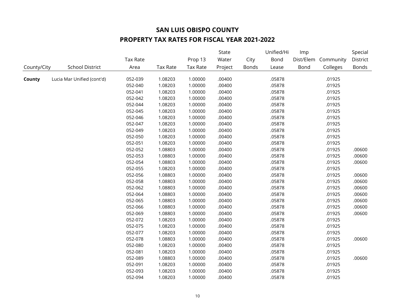|             |                            |          |          |                 | State   |              | Unified/Hi | Imp       |           | Special      |
|-------------|----------------------------|----------|----------|-----------------|---------|--------------|------------|-----------|-----------|--------------|
|             |                            | Tax Rate |          | Prop 13         | Water   | City         | Bond       | Dist/Elem | Community | District     |
| County/City | <b>School District</b>     | Area     | Tax Rate | <b>Tax Rate</b> | Project | <b>Bonds</b> | Lease      | Bond      | Colleges  | <b>Bonds</b> |
| County      | Lucia Mar Unified (cont'd) | 052-039  | 1.08203  | 1.00000         | .00400  |              | .05878     |           | .01925    |              |
|             |                            | 052-040  | 1.08203  | 1.00000         | .00400  |              | .05878     |           | .01925    |              |
|             |                            | 052-041  | 1.08203  | 1.00000         | .00400  |              | .05878     |           | .01925    |              |
|             |                            | 052-042  | 1.08203  | 1.00000         | .00400  |              | .05878     |           | .01925    |              |
|             |                            | 052-044  | 1.08203  | 1.00000         | .00400  |              | .05878     |           | .01925    |              |
|             |                            | 052-045  | 1.08203  | 1.00000         | .00400  |              | .05878     |           | .01925    |              |
|             |                            | 052-046  | 1.08203  | 1.00000         | .00400  |              | .05878     |           | .01925    |              |
|             |                            | 052-047  | 1.08203  | 1.00000         | .00400  |              | .05878     |           | .01925    |              |
|             |                            | 052-049  | 1.08203  | 1.00000         | .00400  |              | .05878     |           | .01925    |              |
|             |                            | 052-050  | 1.08203  | 1.00000         | .00400  |              | .05878     |           | .01925    |              |
|             |                            | 052-051  | 1.08203  | 1.00000         | .00400  |              | .05878     |           | .01925    |              |
|             |                            | 052-052  | 1.08803  | 1.00000         | .00400  |              | .05878     |           | .01925    | .00600       |
|             |                            | 052-053  | 1.08803  | 1.00000         | .00400  |              | .05878     |           | .01925    | .00600       |
|             |                            | 052-054  | 1.08803  | 1.00000         | .00400  |              | .05878     |           | .01925    | .00600       |
|             |                            | 052-055  | 1.08203  | 1.00000         | .00400  |              | .05878     |           | .01925    |              |
|             |                            | 052-056  | 1.08803  | 1.00000         | .00400  |              | .05878     |           | .01925    | .00600       |
|             |                            | 052-058  | 1.08803  | 1.00000         | .00400  |              | .05878     |           | .01925    | .00600       |
|             |                            | 052-062  | 1.08803  | 1.00000         | .00400  |              | .05878     |           | .01925    | .00600       |
|             |                            | 052-064  | 1.08803  | 1.00000         | .00400  |              | .05878     |           | .01925    | .00600       |
|             |                            | 052-065  | 1.08803  | 1.00000         | .00400  |              | .05878     |           | .01925    | .00600       |
|             |                            | 052-066  | 1.08803  | 1.00000         | .00400  |              | .05878     |           | .01925    | .00600       |
|             |                            | 052-069  | 1.08803  | 1.00000         | .00400  |              | .05878     |           | .01925    | .00600       |
|             |                            | 052-072  | 1.08203  | 1.00000         | .00400  |              | .05878     |           | .01925    |              |
|             |                            | 052-075  | 1.08203  | 1.00000         | .00400  |              | .05878     |           | .01925    |              |
|             |                            | 052-077  | 1.08203  | 1.00000         | .00400  |              | .05878     |           | .01925    |              |
|             |                            | 052-078  | 1.08803  | 1.00000         | .00400  |              | .05878     |           | .01925    | .00600       |
|             |                            | 052-080  | 1.08203  | 1.00000         | .00400  |              | .05878     |           | .01925    |              |
|             |                            | 052-081  | 1.08203  | 1.00000         | .00400  |              | .05878     |           | .01925    |              |
|             |                            | 052-089  | 1.08803  | 1.00000         | .00400  |              | .05878     |           | .01925    | .00600       |
|             |                            | 052-091  | 1.08203  | 1.00000         | .00400  |              | .05878     |           | .01925    |              |
|             |                            | 052-093  | 1.08203  | 1.00000         | .00400  |              | .05878     |           | .01925    |              |
|             |                            | 052-094  | 1.08203  | 1.00000         | .00400  |              | .05878     |           | .01925    |              |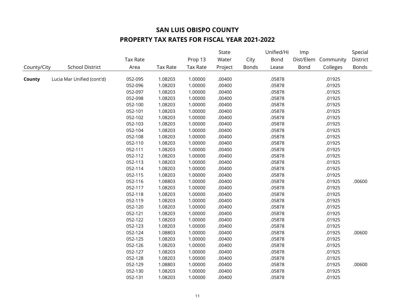|             |                            |                 |          |                 | State   |              | Unified/Hi | Imp  |                     | Special  |
|-------------|----------------------------|-----------------|----------|-----------------|---------|--------------|------------|------|---------------------|----------|
|             |                            | <b>Tax Rate</b> |          | Prop 13         | Water   | City         | Bond       |      | Dist/Elem Community | District |
| County/City | <b>School District</b>     | Area            | Tax Rate | <b>Tax Rate</b> | Project | <b>Bonds</b> | Lease      | Bond | Colleges            | Bonds    |
| County      | Lucia Mar Unified (cont'd) | 052-095         | 1.08203  | 1.00000         | .00400  |              | .05878     |      | .01925              |          |
|             |                            | 052-096         | 1.08203  | 1.00000         | .00400  |              | .05878     |      | .01925              |          |
|             |                            | 052-097         | 1.08203  | 1.00000         | .00400  |              | .05878     |      | .01925              |          |
|             |                            | 052-098         | 1.08203  | 1.00000         | .00400  |              | .05878     |      | .01925              |          |
|             |                            | 052-100         | 1.08203  | 1.00000         | .00400  |              | .05878     |      | .01925              |          |
|             |                            | 052-101         | 1.08203  | 1.00000         | .00400  |              | .05878     |      | .01925              |          |
|             |                            | 052-102         | 1.08203  | 1.00000         | .00400  |              | .05878     |      | .01925              |          |
|             |                            | 052-103         | 1.08203  | 1.00000         | .00400  |              | .05878     |      | .01925              |          |
|             |                            | 052-104         | 1.08203  | 1.00000         | .00400  |              | .05878     |      | .01925              |          |
|             |                            | 052-108         | 1.08203  | 1.00000         | .00400  |              | .05878     |      | .01925              |          |
|             |                            | 052-110         | 1.08203  | 1.00000         | .00400  |              | .05878     |      | .01925              |          |
|             |                            | 052-111         | 1.08203  | 1.00000         | .00400  |              | .05878     |      | .01925              |          |
|             |                            | 052-112         | 1.08203  | 1.00000         | .00400  |              | .05878     |      | .01925              |          |
|             |                            | 052-113         | 1.08203  | 1.00000         | .00400  |              | .05878     |      | .01925              |          |
|             |                            | 052-114         | 1.08203  | 1.00000         | .00400  |              | .05878     |      | .01925              |          |
|             |                            | 052-115         | 1.08203  | 1.00000         | .00400  |              | .05878     |      | .01925              |          |
|             |                            | 052-116         | 1.08803  | 1.00000         | .00400  |              | .05878     |      | .01925              | .00600   |
|             |                            | 052-117         | 1.08203  | 1.00000         | .00400  |              | .05878     |      | .01925              |          |
|             |                            | 052-118         | 1.08203  | 1.00000         | .00400  |              | .05878     |      | .01925              |          |
|             |                            | 052-119         | 1.08203  | 1.00000         | .00400  |              | .05878     |      | .01925              |          |
|             |                            | 052-120         | 1.08203  | 1.00000         | .00400  |              | .05878     |      | .01925              |          |
|             |                            | 052-121         | 1.08203  | 1.00000         | .00400  |              | .05878     |      | .01925              |          |
|             |                            | 052-122         | 1.08203  | 1.00000         | .00400  |              | .05878     |      | .01925              |          |
|             |                            | 052-123         | 1.08203  | 1.00000         | .00400  |              | .05878     |      | .01925              |          |
|             |                            | 052-124         | 1.08803  | 1.00000         | .00400  |              | .05878     |      | .01925              | .00600   |
|             |                            | 052-125         | 1.08203  | 1.00000         | .00400  |              | .05878     |      | .01925              |          |
|             |                            | 052-126         | 1.08203  | 1.00000         | .00400  |              | .05878     |      | .01925              |          |
|             |                            | 052-127         | 1.08203  | 1.00000         | .00400  |              | .05878     |      | .01925              |          |
|             |                            | 052-128         | 1.08203  | 1.00000         | .00400  |              | .05878     |      | .01925              |          |
|             |                            | 052-129         | 1.08803  | 1.00000         | .00400  |              | .05878     |      | .01925              | .00600   |
|             |                            | 052-130         | 1.08203  | 1.00000         | .00400  |              | .05878     |      | .01925              |          |
|             |                            | 052-131         | 1.08203  | 1.00000         | .00400  |              | .05878     |      | .01925              |          |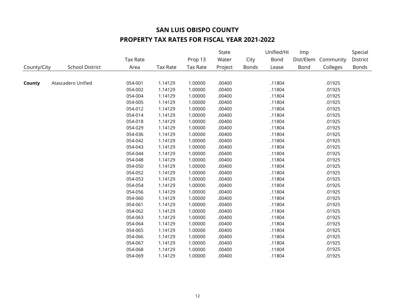|             |                        |                 |                 |                 | <b>State</b> |              | Unified/Hi | Imp  |                     | Special      |
|-------------|------------------------|-----------------|-----------------|-----------------|--------------|--------------|------------|------|---------------------|--------------|
|             |                        | <b>Tax Rate</b> |                 | Prop 13         | Water        | City         | Bond       |      | Dist/Elem Community | District     |
| County/City | <b>School District</b> | Area            | <b>Tax Rate</b> | <b>Tax Rate</b> | Project      | <b>Bonds</b> | Lease      | Bond | Colleges            | <b>Bonds</b> |
|             |                        |                 |                 |                 |              |              |            |      |                     |              |
| County      | Atascadero Unified     | 054-001         | 1.14129         | 1.00000         | .00400       |              | .11804     |      | .01925              |              |
|             |                        | 054-002         | 1.14129         | 1.00000         | .00400       |              | .11804     |      | .01925              |              |
|             |                        | 054-004         | 1.14129         | 1.00000         | .00400       |              | .11804     |      | .01925              |              |
|             |                        | 054-005         | 1.14129         | 1.00000         | .00400       |              | .11804     |      | .01925              |              |
|             |                        | 054-012         | 1.14129         | 1.00000         | .00400       |              | .11804     |      | .01925              |              |
|             |                        | 054-014         | 1.14129         | 1.00000         | .00400       |              | .11804     |      | .01925              |              |
|             |                        | 054-018         | 1.14129         | 1.00000         | .00400       |              | .11804     |      | .01925              |              |
|             |                        | 054-029         | 1.14129         | 1.00000         | .00400       |              | .11804     |      | .01925              |              |
|             |                        | 054-036         | 1.14129         | 1.00000         | .00400       |              | .11804     |      | .01925              |              |
|             |                        | 054-042         | 1.14129         | 1.00000         | .00400       |              | .11804     |      | .01925              |              |
|             |                        | 054-043         | 1.14129         | 1.00000         | .00400       |              | .11804     |      | .01925              |              |
|             |                        | 054-044         | 1.14129         | 1.00000         | .00400       |              | .11804     |      | .01925              |              |
|             |                        | 054-048         | 1.14129         | 1.00000         | .00400       |              | .11804     |      | .01925              |              |
|             |                        | 054-050         | 1.14129         | 1.00000         | .00400       |              | .11804     |      | .01925              |              |
|             |                        | 054-052         | 1.14129         | 1.00000         | .00400       |              | .11804     |      | .01925              |              |
|             |                        | 054-053         | 1.14129         | 1.00000         | .00400       |              | .11804     |      | .01925              |              |
|             |                        | 054-054         | 1.14129         | 1.00000         | .00400       |              | .11804     |      | .01925              |              |
|             |                        | 054-056         | 1.14129         | 1.00000         | .00400       |              | .11804     |      | .01925              |              |
|             |                        | 054-060         | 1.14129         | 1.00000         | .00400       |              | .11804     |      | .01925              |              |
|             |                        | 054-061         | 1.14129         | 1.00000         | .00400       |              | .11804     |      | .01925              |              |
|             |                        | 054-062         | 1.14129         | 1.00000         | .00400       |              | .11804     |      | .01925              |              |
|             |                        | 054-063         | 1.14129         | 1.00000         | .00400       |              | .11804     |      | .01925              |              |
|             |                        | 054-064         | 1.14129         | 1.00000         | .00400       |              | .11804     |      | .01925              |              |
|             |                        | 054-065         | 1.14129         | 1.00000         | .00400       |              | .11804     |      | .01925              |              |
|             |                        | 054-066         | 1.14129         | 1.00000         | .00400       |              | .11804     |      | .01925              |              |
|             |                        | 054-067         | 1.14129         | 1.00000         | .00400       |              | .11804     |      | .01925              |              |
|             |                        | 054-068         | 1.14129         | 1.00000         | .00400       |              | .11804     |      | .01925              |              |
|             |                        | 054-069         | 1.14129         | 1.00000         | .00400       |              | .11804     |      | .01925              |              |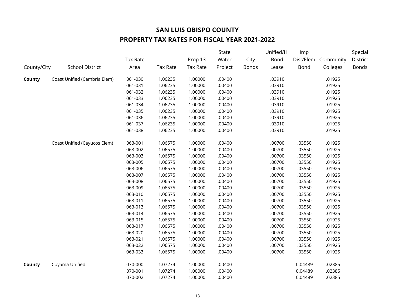|             |                              |          |          |                 | State   |       | Unified/Hi | Imp       |           | Special      |
|-------------|------------------------------|----------|----------|-----------------|---------|-------|------------|-----------|-----------|--------------|
|             |                              | Tax Rate |          | Prop 13         | Water   | City  | Bond       | Dist/Elem | Community | District     |
| County/City | <b>School District</b>       | Area     | Tax Rate | <b>Tax Rate</b> | Project | Bonds | Lease      | Bond      | Colleges  | <b>Bonds</b> |
|             |                              |          |          |                 |         |       |            |           |           |              |
| County      | Coast Unified (Cambria Elem) | 061-030  | 1.06235  | 1.00000         | .00400  |       | .03910     |           | .01925    |              |
|             |                              | 061-031  | 1.06235  | 1.00000         | .00400  |       | .03910     |           | .01925    |              |
|             |                              | 061-032  | 1.06235  | 1.00000         | .00400  |       | .03910     |           | .01925    |              |
|             |                              | 061-033  | 1.06235  | 1.00000         | .00400  |       | .03910     |           | .01925    |              |
|             |                              | 061-034  | 1.06235  | 1.00000         | .00400  |       | .03910     |           | .01925    |              |
|             |                              | 061-035  | 1.06235  | 1.00000         | .00400  |       | .03910     |           | .01925    |              |
|             |                              | 061-036  | 1.06235  | 1.00000         | .00400  |       | .03910     |           | .01925    |              |
|             |                              | 061-037  | 1.06235  | 1.00000         | .00400  |       | .03910     |           | .01925    |              |
|             |                              | 061-038  | 1.06235  | 1.00000         | .00400  |       | .03910     |           | .01925    |              |
|             | Coast Unified (Cayucos Elem) | 063-001  | 1.06575  | 1.00000         | .00400  |       | .00700     | .03550    | .01925    |              |
|             |                              | 063-002  | 1.06575  | 1.00000         | .00400  |       | .00700     | .03550    | .01925    |              |
|             |                              | 063-003  | 1.06575  | 1.00000         | .00400  |       | .00700     | .03550    | .01925    |              |
|             |                              | 063-005  | 1.06575  | 1.00000         | .00400  |       | .00700     | .03550    | .01925    |              |
|             |                              | 063-006  | 1.06575  | 1.00000         | .00400  |       | .00700     | .03550    | .01925    |              |
|             |                              | 063-007  | 1.06575  | 1.00000         | .00400  |       | .00700     | .03550    | .01925    |              |
|             |                              | 063-008  | 1.06575  | 1.00000         | .00400  |       | .00700     | .03550    | .01925    |              |
|             |                              | 063-009  | 1.06575  | 1.00000         | .00400  |       | .00700     | .03550    | .01925    |              |
|             |                              | 063-010  | 1.06575  | 1.00000         | .00400  |       | .00700     | .03550    | .01925    |              |
|             |                              | 063-011  | 1.06575  | 1.00000         | .00400  |       | .00700     | .03550    | .01925    |              |
|             |                              | 063-013  | 1.06575  | 1.00000         | .00400  |       | .00700     | .03550    | .01925    |              |
|             |                              | 063-014  | 1.06575  | 1.00000         | .00400  |       | .00700     | .03550    | .01925    |              |
|             |                              | 063-015  | 1.06575  | 1.00000         | .00400  |       | .00700     | .03550    | .01925    |              |
|             |                              | 063-017  | 1.06575  | 1.00000         | .00400  |       | .00700     | .03550    | .01925    |              |
|             |                              | 063-020  | 1.06575  | 1.00000         | .00400  |       | .00700     | .03550    | .01925    |              |
|             |                              | 063-021  | 1.06575  | 1.00000         | .00400  |       | .00700     | .03550    | .01925    |              |
|             |                              | 063-022  | 1.06575  | 1.00000         | .00400  |       | .00700     | .03550    | .01925    |              |
|             |                              | 063-033  | 1.06575  | 1.00000         | .00400  |       | .00700     | .03550    | .01925    |              |
| County      | Cuyama Unified               | 070-000  | 1.07274  | 1.00000         | .00400  |       |            | 0.04489   | .02385    |              |
|             |                              | 070-001  | 1.07274  | 1.00000         | .00400  |       |            | 0.04489   | .02385    |              |
|             |                              | 070-002  | 1.07274  | 1.00000         | .00400  |       |            | 0.04489   | .02385    |              |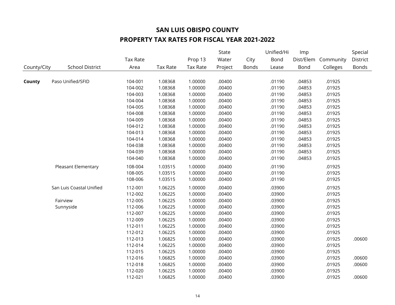|             |                          |                 |                 |                 | State   |              | Unified/Hi | Imp       |           | Special      |
|-------------|--------------------------|-----------------|-----------------|-----------------|---------|--------------|------------|-----------|-----------|--------------|
|             |                          | <b>Tax Rate</b> |                 | Prop 13         | Water   | City         | Bond       | Dist/Elem | Community | District     |
| County/City | <b>School District</b>   | Area            | <b>Tax Rate</b> | <b>Tax Rate</b> | Project | <b>Bonds</b> | Lease      | Bond      | Colleges  | <b>Bonds</b> |
|             |                          |                 |                 |                 |         |              |            |           |           |              |
| County      | Paso Unified/SFID        | 104-001         | 1.08368         | 1.00000         | .00400  |              | .01190     | .04853    | .01925    |              |
|             |                          | 104-002         | 1.08368         | 1.00000         | .00400  |              | .01190     | .04853    | .01925    |              |
|             |                          | 104-003         | 1.08368         | 1.00000         | .00400  |              | .01190     | .04853    | .01925    |              |
|             |                          | 104-004         | 1.08368         | 1.00000         | .00400  |              | .01190     | .04853    | .01925    |              |
|             |                          | 104-005         | 1.08368         | 1.00000         | .00400  |              | .01190     | .04853    | .01925    |              |
|             |                          | 104-008         | 1.08368         | 1.00000         | .00400  |              | .01190     | .04853    | .01925    |              |
|             |                          | 104-009         | 1.08368         | 1.00000         | .00400  |              | .01190     | .04853    | .01925    |              |
|             |                          | 104-012         | 1.08368         | 1.00000         | .00400  |              | .01190     | .04853    | .01925    |              |
|             |                          | 104-013         | 1.08368         | 1.00000         | .00400  |              | .01190     | .04853    | .01925    |              |
|             |                          | 104-014         | 1.08368         | 1.00000         | .00400  |              | .01190     | .04853    | .01925    |              |
|             |                          | 104-038         | 1.08368         | 1.00000         | .00400  |              | .01190     | .04853    | .01925    |              |
|             |                          | 104-039         | 1.08368         | 1.00000         | .00400  |              | .01190     | .04853    | .01925    |              |
|             |                          | 104-040         | 1.08368         | 1.00000         | .00400  |              | .01190     | .04853    | .01925    |              |
|             | Pleasant Elementary      | 108-004         | 1.03515         | 1.00000         | .00400  |              | .01190     |           | .01925    |              |
|             |                          | 108-005         | 1.03515         | 1.00000         | .00400  |              | .01190     |           | .01925    |              |
|             |                          | 108-006         | 1.03515         | 1.00000         | .00400  |              | .01190     |           | .01925    |              |
|             | San Luis Coastal Unified | 112-001         | 1.06225         | 1.00000         | .00400  |              | .03900     |           | .01925    |              |
|             |                          | 112-002         | 1.06225         | 1.00000         | .00400  |              | .03900     |           | .01925    |              |
|             | Fairview                 | 112-005         | 1.06225         | 1.00000         | .00400  |              | .03900     |           | .01925    |              |
|             | Sunnyside                | 112-006         | 1.06225         | 1.00000         | .00400  |              | .03900     |           | .01925    |              |
|             |                          | 112-007         | 1.06225         | 1.00000         | .00400  |              | .03900     |           | .01925    |              |
|             |                          | 112-009         | 1.06225         | 1.00000         | .00400  |              | .03900     |           | .01925    |              |
|             |                          | 112-011         | 1.06225         | 1.00000         | .00400  |              | .03900     |           | .01925    |              |
|             |                          | 112-012         | 1.06225         | 1.00000         | .00400  |              | .03900     |           | .01925    |              |
|             |                          | 112-013         | 1.06825         | 1.00000         | .00400  |              | .03900     |           | .01925    | .00600       |
|             |                          | 112-014         | 1.06225         | 1.00000         | .00400  |              | .03900     |           | .01925    |              |
|             |                          | 112-015         | 1.06225         | 1.00000         | .00400  |              | .03900     |           | .01925    |              |
|             |                          | 112-016         | 1.06825         | 1.00000         | .00400  |              | .03900     |           | .01925    | .00600       |
|             |                          | 112-018         | 1.06825         | 1.00000         | .00400  |              | .03900     |           | .01925    | .00600       |
|             |                          | 112-020         | 1.06225         | 1.00000         | .00400  |              | .03900     |           | .01925    |              |
|             |                          | 112-021         | 1.06825         | 1.00000         | .00400  |              | .03900     |           | .01925    | .00600       |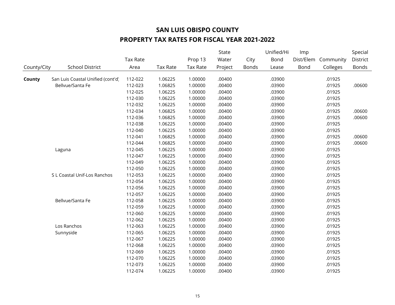|             |                                   |                 |          |                 | State            |                      |               | Imp         |                       | Special           |
|-------------|-----------------------------------|-----------------|----------|-----------------|------------------|----------------------|---------------|-------------|-----------------------|-------------------|
|             |                                   | <b>Tax Rate</b> |          | Prop 13         | Water<br>Project | City<br><b>Bonds</b> | Bond<br>Lease | Dist/Elem   | Community<br>Colleges | District<br>Bonds |
| County/City | <b>School District</b>            | Area            | Tax Rate | <b>Tax Rate</b> |                  |                      |               | <b>Bond</b> |                       |                   |
| County      | San Luis Coastal Unified (cont'd) | 112-022         | 1.06225  | 1.00000         | .00400           |                      | .03900        |             | .01925                |                   |
|             | Bellvue/Santa Fe                  | 112-023         | 1.06825  | 1.00000         | .00400           |                      | .03900        |             | .01925                | .00600            |
|             |                                   | 112-025         | 1.06225  | 1.00000         | .00400           |                      | .03900        |             | .01925                |                   |
|             |                                   | 112-030         | 1.06225  | 1.00000         | .00400           |                      | .03900        |             | .01925                |                   |
|             |                                   | 112-032         | 1.06225  | 1.00000         | .00400           |                      | .03900        |             | .01925                |                   |
|             |                                   | 112-034         | 1.06825  | 1.00000         | .00400           |                      | .03900        |             | .01925                | .00600            |
|             |                                   | 112-036         | 1.06825  | 1.00000         | .00400           |                      | .03900        |             | .01925                | .00600            |
|             |                                   | 112-038         | 1.06225  | 1.00000         | .00400           |                      | .03900        |             | .01925                |                   |
|             |                                   | 112-040         | 1.06225  | 1.00000         | .00400           |                      | .03900        |             | .01925                |                   |
|             |                                   | 112-041         | 1.06825  | 1.00000         | .00400           |                      | .03900        |             | .01925                | .00600            |
|             |                                   | 112-044         | 1.06825  | 1.00000         | .00400           |                      | .03900        |             | .01925                | .00600            |
|             | Laguna                            | 112-045         | 1.06225  | 1.00000         | .00400           |                      | .03900        |             | .01925                |                   |
|             |                                   | 112-047         | 1.06225  | 1.00000         | .00400           |                      | .03900        |             | .01925                |                   |
|             |                                   | 112-049         | 1.06225  | 1.00000         | .00400           |                      | .03900        |             | .01925                |                   |
|             |                                   | 112-050         | 1.06225  | 1.00000         | .00400           |                      | .03900        |             | .01925                |                   |
|             | S L Coastal Unif-Los Ranchos      | 112-053         | 1.06225  | 1.00000         | .00400           |                      | .03900        |             | .01925                |                   |
|             |                                   | 112-054         | 1.06225  | 1.00000         | .00400           |                      | .03900        |             | .01925                |                   |
|             |                                   | 112-056         | 1.06225  | 1.00000         | .00400           |                      | .03900        |             | .01925                |                   |
|             |                                   | 112-057         | 1.06225  | 1.00000         | .00400           |                      | .03900        |             | .01925                |                   |
|             | Bellvue/Santa Fe                  | 112-058         | 1.06225  | 1.00000         | .00400           |                      | .03900        |             | .01925                |                   |
|             |                                   | 112-059         | 1.06225  | 1.00000         | .00400           |                      | .03900        |             | .01925                |                   |
|             |                                   | 112-060         | 1.06225  | 1.00000         | .00400           |                      | .03900        |             | .01925                |                   |
|             |                                   | 112-062         | 1.06225  | 1.00000         | .00400           |                      | .03900        |             | .01925                |                   |
|             | Los Ranchos                       | 112-063         | 1.06225  | 1.00000         | .00400           |                      | .03900        |             | .01925                |                   |
|             | Sunnyside                         | 112-065         | 1.06225  | 1.00000         | .00400           |                      | .03900        |             | .01925                |                   |
|             |                                   | 112-067         | 1.06225  | 1.00000         | .00400           |                      | .03900        |             | .01925                |                   |
|             |                                   | 112-068         | 1.06225  | 1.00000         | .00400           |                      | .03900        |             | .01925                |                   |
|             |                                   | 112-069         | 1.06225  | 1.00000         | .00400           |                      | .03900        |             | .01925                |                   |
|             |                                   | 112-070         | 1.06225  | 1.00000         | .00400           |                      | .03900        |             | .01925                |                   |
|             |                                   | 112-073         | 1.06225  | 1.00000         | .00400           |                      | .03900        |             | .01925                |                   |
|             |                                   | 112-074         | 1.06225  | 1.00000         | .00400           |                      | .03900        |             | .01925                |                   |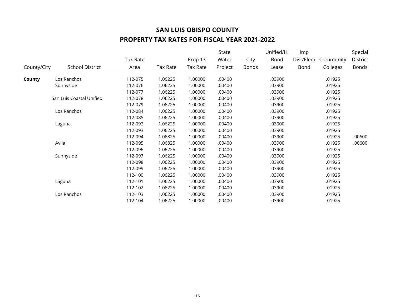|             |                          |                 |          |                 | State   |       | Unified/Hi | Imp       |           | Special  |
|-------------|--------------------------|-----------------|----------|-----------------|---------|-------|------------|-----------|-----------|----------|
|             |                          | <b>Tax Rate</b> |          | Prop 13         | Water   | City  | Bond       | Dist/Elem | Community | District |
| County/City | <b>School District</b>   | Area            | Tax Rate | <b>Tax Rate</b> | Project | Bonds | Lease      | Bond      | Colleges  | Bonds    |
| County      | Los Ranchos              | 112-075         | 1.06225  | 1.00000         | .00400  |       | .03900     |           | .01925    |          |
|             | Sunnyside                | 112-076         | 1.06225  | 1.00000         | .00400  |       | .03900     |           | .01925    |          |
|             |                          | 112-077         | 1.06225  | 1.00000         | .00400  |       | .03900     |           | .01925    |          |
|             | San Luis Coastal Unified | 112-078         | 1.06225  | 1.00000         | .00400  |       | .03900     |           | .01925    |          |
|             |                          | 112-079         | 1.06225  | 1.00000         | .00400  |       | .03900     |           | .01925    |          |
|             | Los Ranchos              | 112-084         | 1.06225  | 1.00000         | .00400  |       | .03900     |           | .01925    |          |
|             |                          | 112-085         | 1.06225  | 1.00000         | .00400  |       | .03900     |           | .01925    |          |
|             | Laguna                   | 112-092         | 1.06225  | 1.00000         | .00400  |       | .03900     |           | .01925    |          |
|             |                          | 112-093         | 1.06225  | 1.00000         | .00400  |       | .03900     |           | .01925    |          |
|             |                          | 112-094         | 1.06825  | 1.00000         | .00400  |       | .03900     |           | .01925    | .00600   |
|             | Avila                    | 112-095         | 1.06825  | 1.00000         | .00400  |       | .03900     |           | .01925    | .00600   |
|             |                          | 112-096         | 1.06225  | 1.00000         | .00400  |       | .03900     |           | .01925    |          |
|             | Sunnyside                | 112-097         | 1.06225  | 1.00000         | .00400  |       | .03900     |           | .01925    |          |
|             |                          | 112-098         | 1.06225  | 1.00000         | .00400  |       | .03900     |           | .01925    |          |
|             |                          | 112-099         | 1.06225  | 1.00000         | .00400  |       | .03900     |           | .01925    |          |
|             |                          | 112-100         | 1.06225  | 1.00000         | .00400  |       | .03900     |           | .01925    |          |
|             | Laguna                   | 112-101         | 1.06225  | 1.00000         | .00400  |       | .03900     |           | .01925    |          |
|             |                          | 112-102         | 1.06225  | 1.00000         | .00400  |       | .03900     |           | .01925    |          |
|             | Los Ranchos              | 112-103         | 1.06225  | 1.00000         | .00400  |       | .03900     |           | .01925    |          |
|             |                          | 112-104         | 1.06225  | 1.00000         | .00400  |       | .03900     |           | .01925    |          |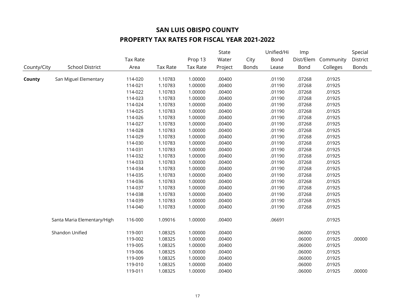|             |                             |          |                 |                 | State   |              | Unified/Hi | Imp       |           | Special      |
|-------------|-----------------------------|----------|-----------------|-----------------|---------|--------------|------------|-----------|-----------|--------------|
|             |                             | Tax Rate |                 | Prop 13         | Water   | City         | Bond       | Dist/Elem | Community | District     |
| County/City | <b>School District</b>      | Area     | <b>Tax Rate</b> | <b>Tax Rate</b> | Project | <b>Bonds</b> | Lease      | Bond      | Colleges  | <b>Bonds</b> |
| County      | San Miguel Elementary       | 114-020  | 1.10783         | 1.00000         | .00400  |              | .01190     | .07268    | .01925    |              |
|             |                             | 114-021  | 1.10783         | 1.00000         | .00400  |              | .01190     | .07268    | .01925    |              |
|             |                             | 114-022  | 1.10783         | 1.00000         | .00400  |              | .01190     | .07268    | .01925    |              |
|             |                             | 114-023  | 1.10783         | 1.00000         | .00400  |              | .01190     | .07268    | .01925    |              |
|             |                             | 114-024  | 1.10783         | 1.00000         | .00400  |              | .01190     | .07268    | .01925    |              |
|             |                             | 114-025  | 1.10783         | 1.00000         | .00400  |              | .01190     | .07268    | .01925    |              |
|             |                             | 114-026  | 1.10783         | 1.00000         | .00400  |              | .01190     | .07268    | .01925    |              |
|             |                             | 114-027  | 1.10783         | 1.00000         | .00400  |              | .01190     | .07268    | .01925    |              |
|             |                             | 114-028  | 1.10783         | 1.00000         | .00400  |              | .01190     | .07268    | .01925    |              |
|             |                             | 114-029  | 1.10783         | 1.00000         | .00400  |              | .01190     | .07268    | .01925    |              |
|             |                             | 114-030  | 1.10783         | 1.00000         | .00400  |              | .01190     | .07268    | .01925    |              |
|             |                             | 114-031  | 1.10783         | 1.00000         | .00400  |              | .01190     | .07268    | .01925    |              |
|             |                             | 114-032  | 1.10783         | 1.00000         | .00400  |              | .01190     | .07268    | .01925    |              |
|             |                             | 114-033  | 1.10783         | 1.00000         | .00400  |              | .01190     | .07268    | .01925    |              |
|             |                             | 114-034  | 1.10783         | 1.00000         | .00400  |              | .01190     | .07268    | .01925    |              |
|             |                             | 114-035  | 1.10783         | 1.00000         | .00400  |              | .01190     | .07268    | .01925    |              |
|             |                             | 114-036  | 1.10783         | 1.00000         | .00400  |              | .01190     | .07268    | .01925    |              |
|             |                             | 114-037  | 1.10783         | 1.00000         | .00400  |              | .01190     | .07268    | .01925    |              |
|             |                             | 114-038  | 1.10783         | 1.00000         | .00400  |              | .01190     | .07268    | .01925    |              |
|             |                             | 114-039  | 1.10783         | 1.00000         | .00400  |              | .01190     | .07268    | .01925    |              |
|             |                             | 114-040  | 1.10783         | 1.00000         | .00400  |              | .01190     | .07268    | .01925    |              |
|             | Santa Maria Elementary/High | 116-000  | 1.09016         | 1.00000         | .00400  |              | .06691     |           | .01925    |              |
|             | Shandon Unified             | 119-001  | 1.08325         | 1.00000         | .00400  |              |            | .06000    | .01925    |              |
|             |                             | 119-002  | 1.08325         | 1.00000         | .00400  |              |            | .06000    | .01925    | .00000       |
|             |                             | 119-005  | 1.08325         | 1.00000         | .00400  |              |            | .06000    | .01925    |              |
|             |                             | 119-006  | 1.08325         | 1.00000         | .00400  |              |            | .06000    | .01925    |              |
|             |                             | 119-009  | 1.08325         | 1.00000         | .00400  |              |            | .06000    | .01925    |              |
|             |                             | 119-010  | 1.08325         | 1.00000         | .00400  |              |            | .06000    | .01925    |              |
|             |                             | 119-011  | 1.08325         | 1.00000         | .00400  |              |            | .06000    | .01925    | .00000       |